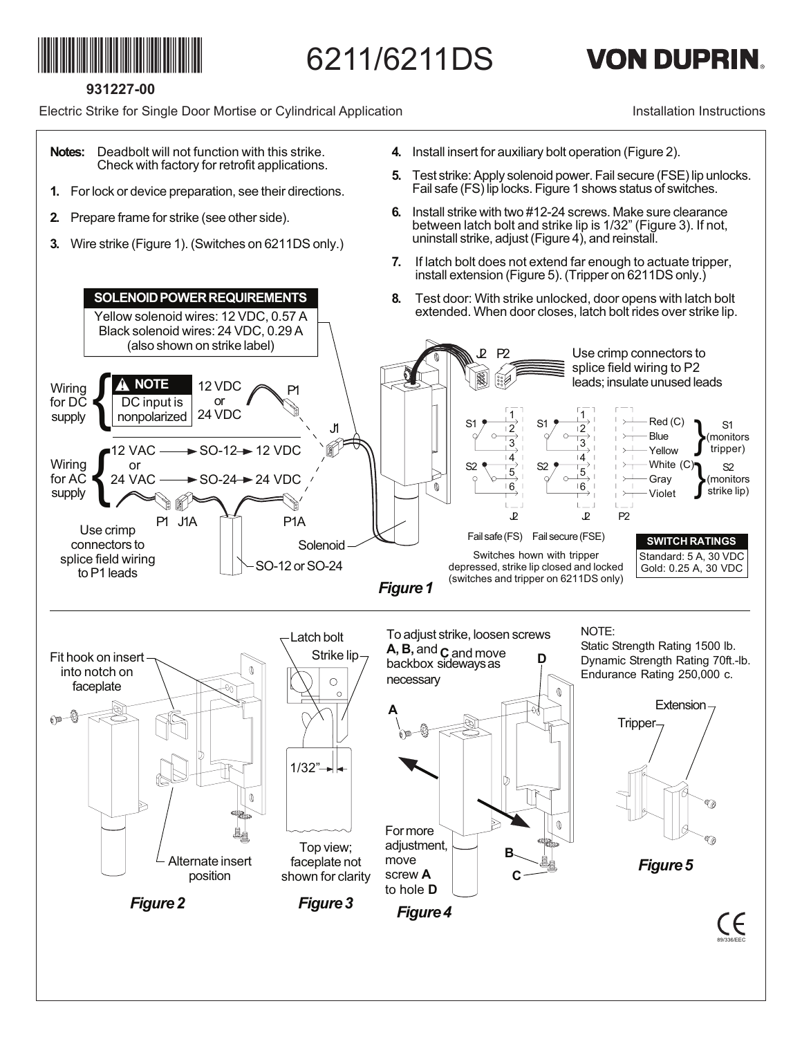

6211/6211DS

## **VON DUPRIN.**

**931227-00**

Electric Strike for Single Door Mortise or Cylindrical Application

Installation Instructions